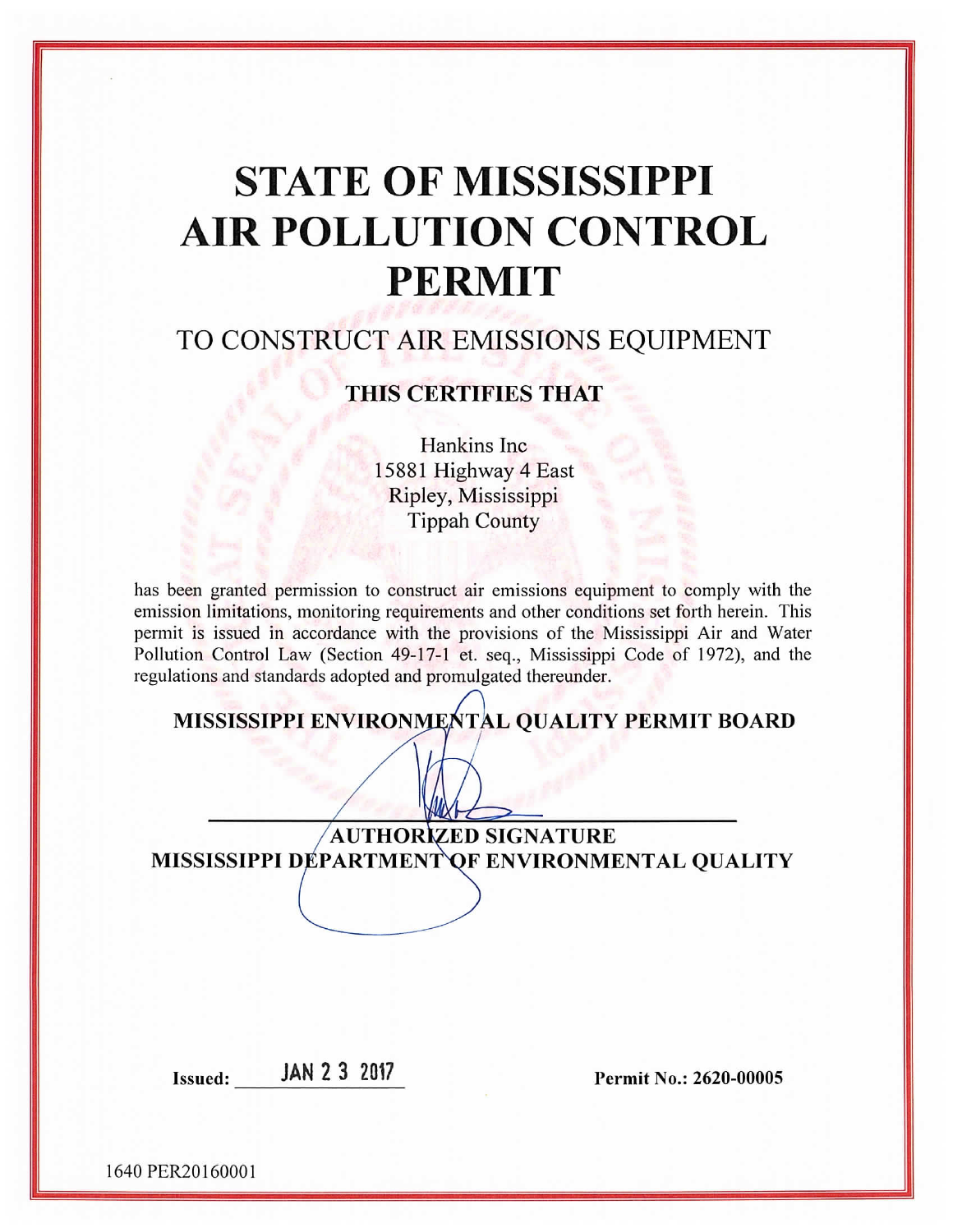# **STATE OF MISSISSIPPI AIR POLLUTION CONTROL PERMIT**

# TO CONSTRUCT AIR EMISSIONS EQUIPMENT

# THIS CERTIFIES THAT

Hankins Inc 15881 Highway 4 East Ripley, Mississippi **Tippah County** 

has been granted permission to construct air emissions equipment to comply with the emission limitations, monitoring requirements and other conditions set forth herein. This permit is issued in accordance with the provisions of the Mississippi Air and Water Pollution Control Law (Section 49-17-1 et. seq., Mississippi Code of 1972), and the regulations and standards adopted and promulgated thereunder.

MISSISSIPPI ENVIRONMENTAL QUALITY PERMIT BOARD

**AUTHORIZED SIGNATURE** MISSISSIPPI DÉPARTMENT QF ENVIRONMENTAL QUALITY

Issued: **JAN 2 3 2017** 

Permit No.: 2620-00005

1640 PER20160001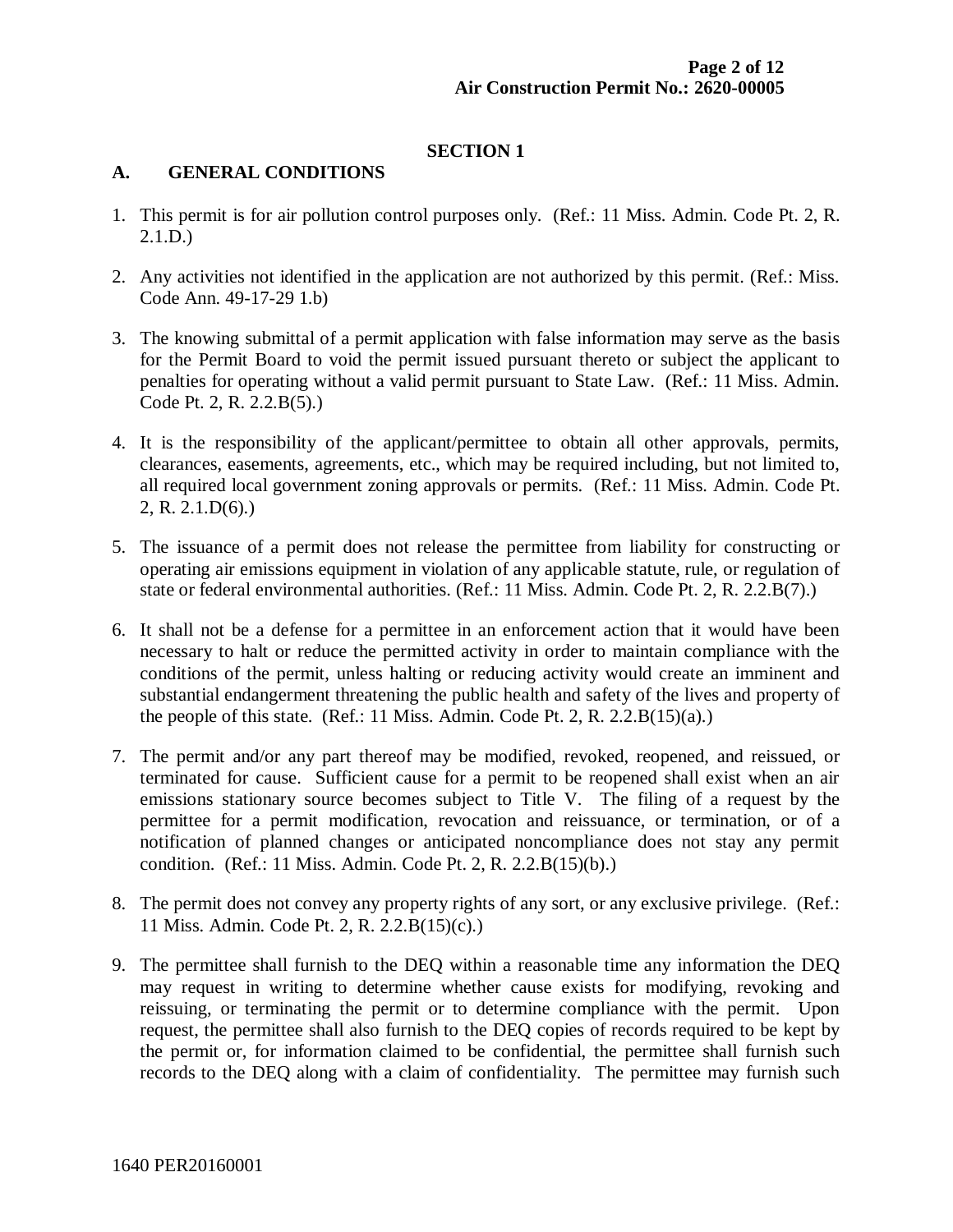#### **SECTION 1**

#### **A. GENERAL CONDITIONS**

- 1. This permit is for air pollution control purposes only. (Ref.: 11 Miss. Admin. Code Pt. 2, R. 2.1.D.)
- 2. Any activities not identified in the application are not authorized by this permit. (Ref.: Miss. Code Ann. 49-17-29 1.b)
- 3. The knowing submittal of a permit application with false information may serve as the basis for the Permit Board to void the permit issued pursuant thereto or subject the applicant to penalties for operating without a valid permit pursuant to State Law. (Ref.: 11 Miss. Admin. Code Pt. 2, R. 2.2.B(5).)
- 4. It is the responsibility of the applicant/permittee to obtain all other approvals, permits, clearances, easements, agreements, etc., which may be required including, but not limited to, all required local government zoning approvals or permits. (Ref.: 11 Miss. Admin. Code Pt. 2, R. 2.1.D(6).)
- 5. The issuance of a permit does not release the permittee from liability for constructing or operating air emissions equipment in violation of any applicable statute, rule, or regulation of state or federal environmental authorities. (Ref.: 11 Miss. Admin. Code Pt. 2, R. 2.2.B(7).)
- 6. It shall not be a defense for a permittee in an enforcement action that it would have been necessary to halt or reduce the permitted activity in order to maintain compliance with the conditions of the permit, unless halting or reducing activity would create an imminent and substantial endangerment threatening the public health and safety of the lives and property of the people of this state. (Ref.: 11 Miss. Admin. Code Pt. 2, R. 2.2. $B(15)(a)$ .)
- 7. The permit and/or any part thereof may be modified, revoked, reopened, and reissued, or terminated for cause. Sufficient cause for a permit to be reopened shall exist when an air emissions stationary source becomes subject to Title V. The filing of a request by the permittee for a permit modification, revocation and reissuance, or termination, or of a notification of planned changes or anticipated noncompliance does not stay any permit condition. (Ref.: 11 Miss. Admin. Code Pt. 2, R. 2.2.B(15)(b).)
- 8. The permit does not convey any property rights of any sort, or any exclusive privilege. (Ref.: 11 Miss. Admin. Code Pt. 2, R. 2.2.B(15)(c).)
- 9. The permittee shall furnish to the DEQ within a reasonable time any information the DEQ may request in writing to determine whether cause exists for modifying, revoking and reissuing, or terminating the permit or to determine compliance with the permit. Upon request, the permittee shall also furnish to the DEQ copies of records required to be kept by the permit or, for information claimed to be confidential, the permittee shall furnish such records to the DEQ along with a claim of confidentiality. The permittee may furnish such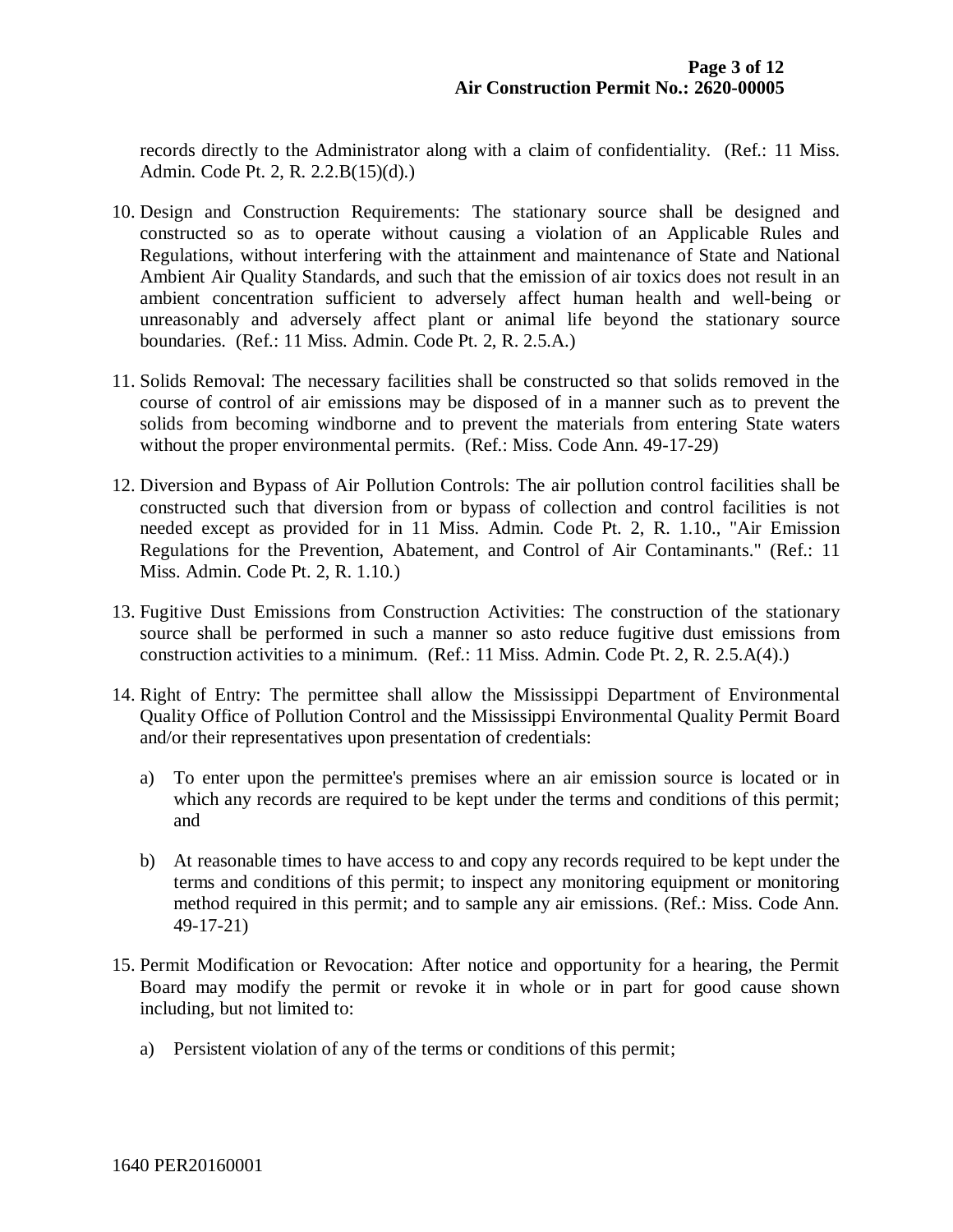records directly to the Administrator along with a claim of confidentiality. (Ref.: 11 Miss. Admin. Code Pt. 2, R. 2.2.B(15)(d).)

- 10. Design and Construction Requirements: The stationary source shall be designed and constructed so as to operate without causing a violation of an Applicable Rules and Regulations, without interfering with the attainment and maintenance of State and National Ambient Air Quality Standards, and such that the emission of air toxics does not result in an ambient concentration sufficient to adversely affect human health and well-being or unreasonably and adversely affect plant or animal life beyond the stationary source boundaries. (Ref.: 11 Miss. Admin. Code Pt. 2, R. 2.5.A.)
- 11. Solids Removal: The necessary facilities shall be constructed so that solids removed in the course of control of air emissions may be disposed of in a manner such as to prevent the solids from becoming windborne and to prevent the materials from entering State waters without the proper environmental permits. (Ref.: Miss. Code Ann. 49-17-29)
- 12. Diversion and Bypass of Air Pollution Controls: The air pollution control facilities shall be constructed such that diversion from or bypass of collection and control facilities is not needed except as provided for in 11 Miss. Admin. Code Pt. 2, R. 1.10., "Air Emission Regulations for the Prevention, Abatement, and Control of Air Contaminants." (Ref.: 11 Miss. Admin. Code Pt. 2, R. 1.10.)
- 13. Fugitive Dust Emissions from Construction Activities: The construction of the stationary source shall be performed in such a manner so asto reduce fugitive dust emissions from construction activities to a minimum. (Ref.: 11 Miss. Admin. Code Pt. 2, R. 2.5.A(4).)
- 14. Right of Entry: The permittee shall allow the Mississippi Department of Environmental Quality Office of Pollution Control and the Mississippi Environmental Quality Permit Board and/or their representatives upon presentation of credentials:
	- a) To enter upon the permittee's premises where an air emission source is located or in which any records are required to be kept under the terms and conditions of this permit; and
	- b) At reasonable times to have access to and copy any records required to be kept under the terms and conditions of this permit; to inspect any monitoring equipment or monitoring method required in this permit; and to sample any air emissions. (Ref.: Miss. Code Ann. 49-17-21)
- 15. Permit Modification or Revocation: After notice and opportunity for a hearing, the Permit Board may modify the permit or revoke it in whole or in part for good cause shown including, but not limited to:
	- a) Persistent violation of any of the terms or conditions of this permit;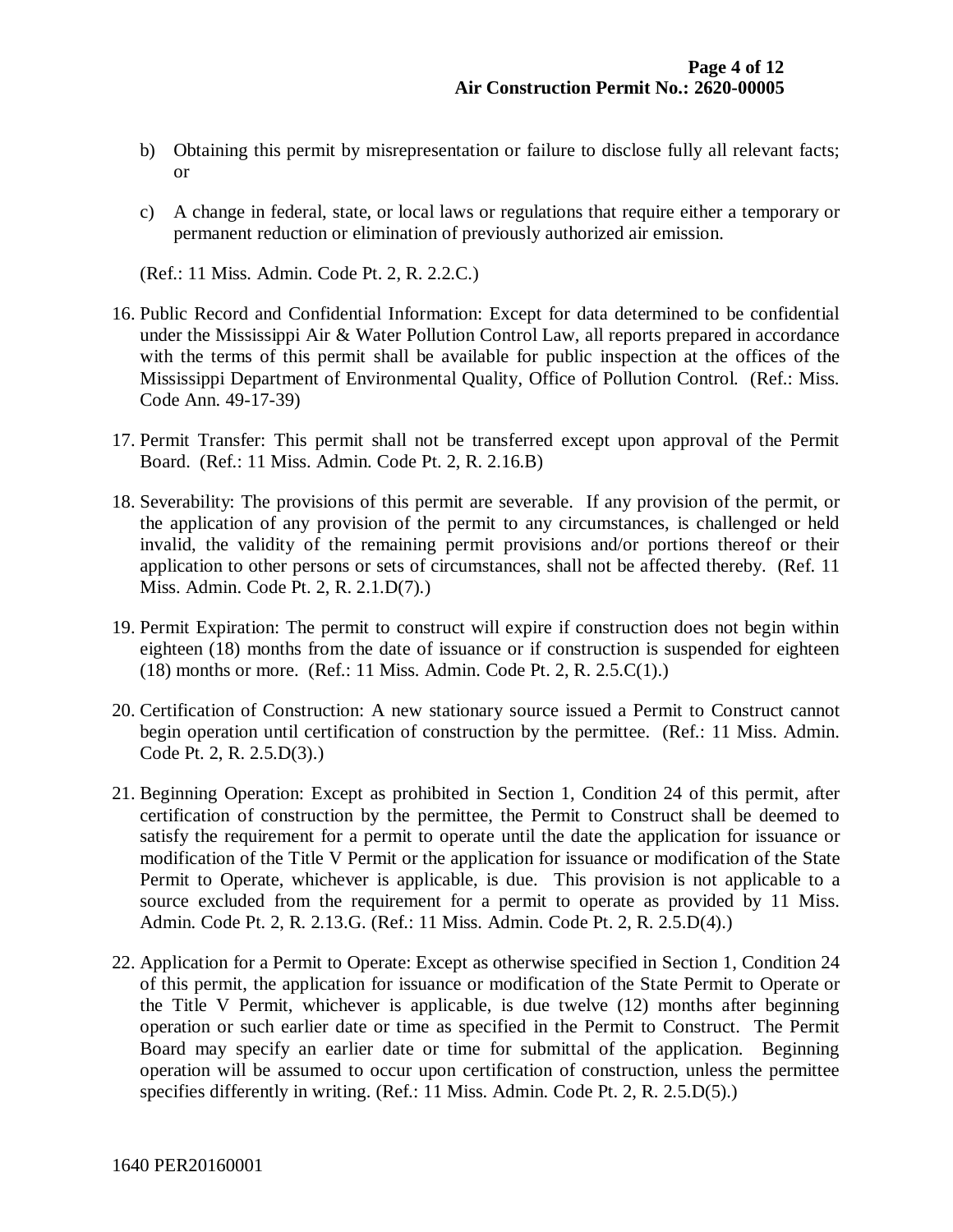- b) Obtaining this permit by misrepresentation or failure to disclose fully all relevant facts; or
- c) A change in federal, state, or local laws or regulations that require either a temporary or permanent reduction or elimination of previously authorized air emission.

(Ref.: 11 Miss. Admin. Code Pt. 2, R. 2.2.C.)

- 16. Public Record and Confidential Information: Except for data determined to be confidential under the Mississippi Air & Water Pollution Control Law, all reports prepared in accordance with the terms of this permit shall be available for public inspection at the offices of the Mississippi Department of Environmental Quality, Office of Pollution Control. (Ref.: Miss. Code Ann. 49-17-39)
- 17. Permit Transfer: This permit shall not be transferred except upon approval of the Permit Board. (Ref.: 11 Miss. Admin. Code Pt. 2, R. 2.16.B)
- 18. Severability: The provisions of this permit are severable. If any provision of the permit, or the application of any provision of the permit to any circumstances, is challenged or held invalid, the validity of the remaining permit provisions and/or portions thereof or their application to other persons or sets of circumstances, shall not be affected thereby. (Ref. 11 Miss. Admin. Code Pt. 2, R. 2.1.D(7).)
- 19. Permit Expiration: The permit to construct will expire if construction does not begin within eighteen (18) months from the date of issuance or if construction is suspended for eighteen (18) months or more. (Ref.: 11 Miss. Admin. Code Pt. 2, R. 2.5.C(1).)
- 20. Certification of Construction: A new stationary source issued a Permit to Construct cannot begin operation until certification of construction by the permittee. (Ref.: 11 Miss. Admin. Code Pt. 2, R. 2.5.D(3).)
- 21. Beginning Operation: Except as prohibited in Section 1, Condition 24 of this permit, after certification of construction by the permittee, the Permit to Construct shall be deemed to satisfy the requirement for a permit to operate until the date the application for issuance or modification of the Title V Permit or the application for issuance or modification of the State Permit to Operate, whichever is applicable, is due. This provision is not applicable to a source excluded from the requirement for a permit to operate as provided by 11 Miss. Admin. Code Pt. 2, R. 2.13.G. (Ref.: 11 Miss. Admin. Code Pt. 2, R. 2.5.D(4).)
- 22. Application for a Permit to Operate: Except as otherwise specified in Section 1, Condition 24 of this permit, the application for issuance or modification of the State Permit to Operate or the Title V Permit, whichever is applicable, is due twelve (12) months after beginning operation or such earlier date or time as specified in the Permit to Construct. The Permit Board may specify an earlier date or time for submittal of the application. Beginning operation will be assumed to occur upon certification of construction, unless the permittee specifies differently in writing. (Ref.: 11 Miss. Admin. Code Pt. 2, R. 2.5.D(5).)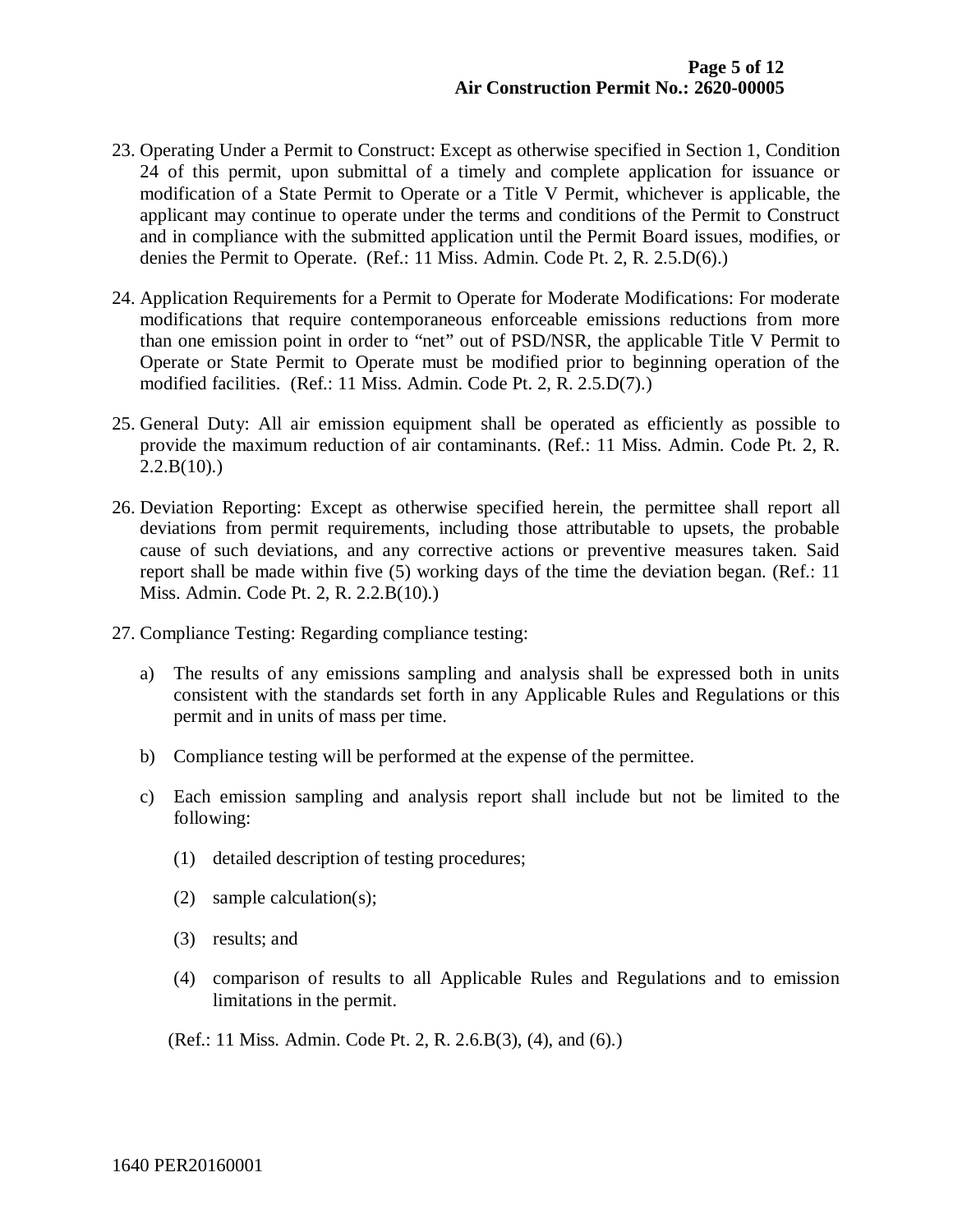- 23. Operating Under a Permit to Construct: Except as otherwise specified in Section 1, Condition 24 of this permit, upon submittal of a timely and complete application for issuance or modification of a State Permit to Operate or a Title V Permit, whichever is applicable, the applicant may continue to operate under the terms and conditions of the Permit to Construct and in compliance with the submitted application until the Permit Board issues, modifies, or denies the Permit to Operate. (Ref.: 11 Miss. Admin. Code Pt. 2, R. 2.5.D(6).)
- 24. Application Requirements for a Permit to Operate for Moderate Modifications: For moderate modifications that require contemporaneous enforceable emissions reductions from more than one emission point in order to "net" out of PSD/NSR, the applicable Title V Permit to Operate or State Permit to Operate must be modified prior to beginning operation of the modified facilities. (Ref.: 11 Miss. Admin. Code Pt. 2, R. 2.5.D(7).)
- 25. General Duty: All air emission equipment shall be operated as efficiently as possible to provide the maximum reduction of air contaminants. (Ref.: 11 Miss. Admin. Code Pt. 2, R.  $2.2.B(10)$ .
- 26. Deviation Reporting: Except as otherwise specified herein, the permittee shall report all deviations from permit requirements, including those attributable to upsets, the probable cause of such deviations, and any corrective actions or preventive measures taken. Said report shall be made within five (5) working days of the time the deviation began. (Ref.: 11 Miss. Admin. Code Pt. 2, R. 2.2.B(10).)
- 27. Compliance Testing: Regarding compliance testing:
	- a) The results of any emissions sampling and analysis shall be expressed both in units consistent with the standards set forth in any Applicable Rules and Regulations or this permit and in units of mass per time.
	- b) Compliance testing will be performed at the expense of the permittee.
	- c) Each emission sampling and analysis report shall include but not be limited to the following:
		- (1) detailed description of testing procedures;
		- (2) sample calculation(s);
		- (3) results; and
		- (4) comparison of results to all Applicable Rules and Regulations and to emission limitations in the permit.

(Ref.: 11 Miss. Admin. Code Pt. 2, R. 2.6.B(3), (4), and (6).)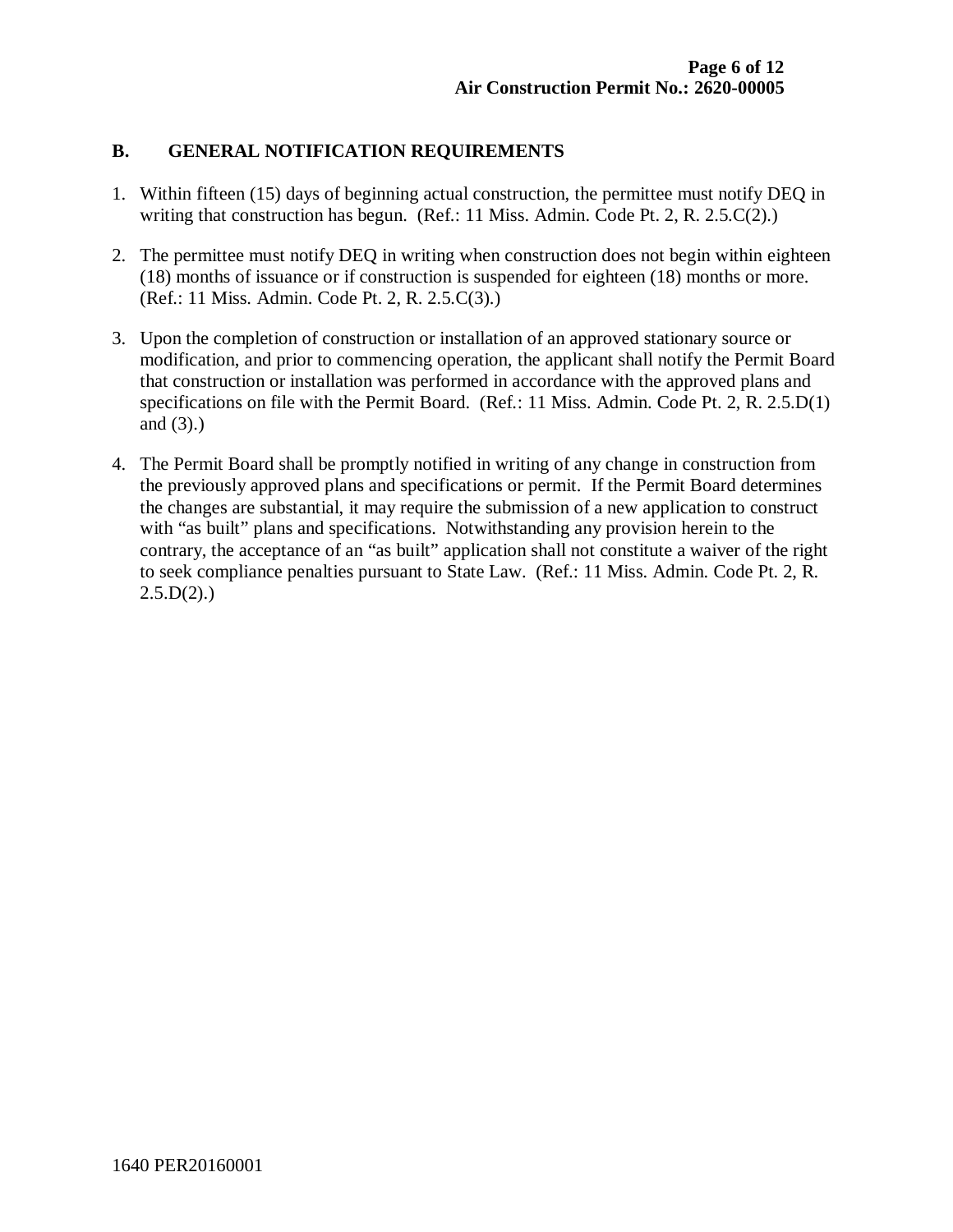#### **B. GENERAL NOTIFICATION REQUIREMENTS**

- 1. Within fifteen (15) days of beginning actual construction, the permittee must notify DEQ in writing that construction has begun. (Ref.: 11 Miss. Admin. Code Pt. 2, R. 2.5.C(2).)
- 2. The permittee must notify DEQ in writing when construction does not begin within eighteen (18) months of issuance or if construction is suspended for eighteen (18) months or more. (Ref.: 11 Miss. Admin. Code Pt. 2, R. 2.5.C(3).)
- 3. Upon the completion of construction or installation of an approved stationary source or modification, and prior to commencing operation, the applicant shall notify the Permit Board that construction or installation was performed in accordance with the approved plans and specifications on file with the Permit Board. (Ref.: 11 Miss. Admin. Code Pt. 2, R. 2.5.D(1) and (3).)
- 4. The Permit Board shall be promptly notified in writing of any change in construction from the previously approved plans and specifications or permit. If the Permit Board determines the changes are substantial, it may require the submission of a new application to construct with "as built" plans and specifications. Notwithstanding any provision herein to the contrary, the acceptance of an "as built" application shall not constitute a waiver of the right to seek compliance penalties pursuant to State Law. (Ref.: 11 Miss. Admin. Code Pt. 2, R.  $2.5.D(2).$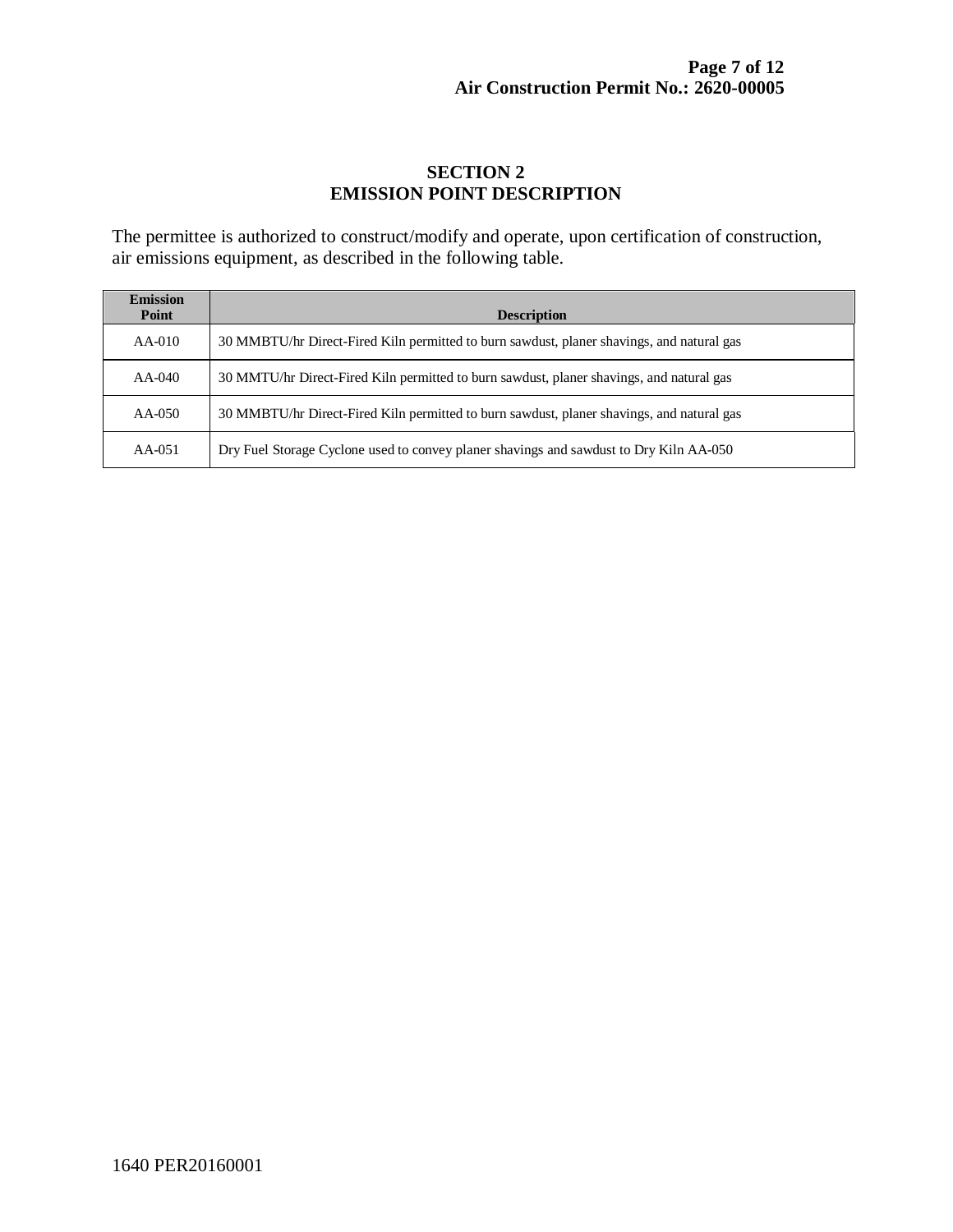### **SECTION 2 EMISSION POINT DESCRIPTION**

The permittee is authorized to construct/modify and operate, upon certification of construction, air emissions equipment, as described in the following table.

| <b>Emission</b><br>Point | <b>Description</b>                                                                        |
|--------------------------|-------------------------------------------------------------------------------------------|
| $AA-010$                 | 30 MMBTU/hr Direct-Fired Kiln permitted to burn sawdust, planer shavings, and natural gas |
| $AA-040$                 | 30 MMTU/hr Direct-Fired Kiln permitted to burn sawdust, planer shavings, and natural gas  |
| AA-050                   | 30 MMBTU/hr Direct-Fired Kiln permitted to burn sawdust, planer shavings, and natural gas |
| $AA-051$                 | Dry Fuel Storage Cyclone used to convey planer shavings and sawdust to Dry Kiln AA-050    |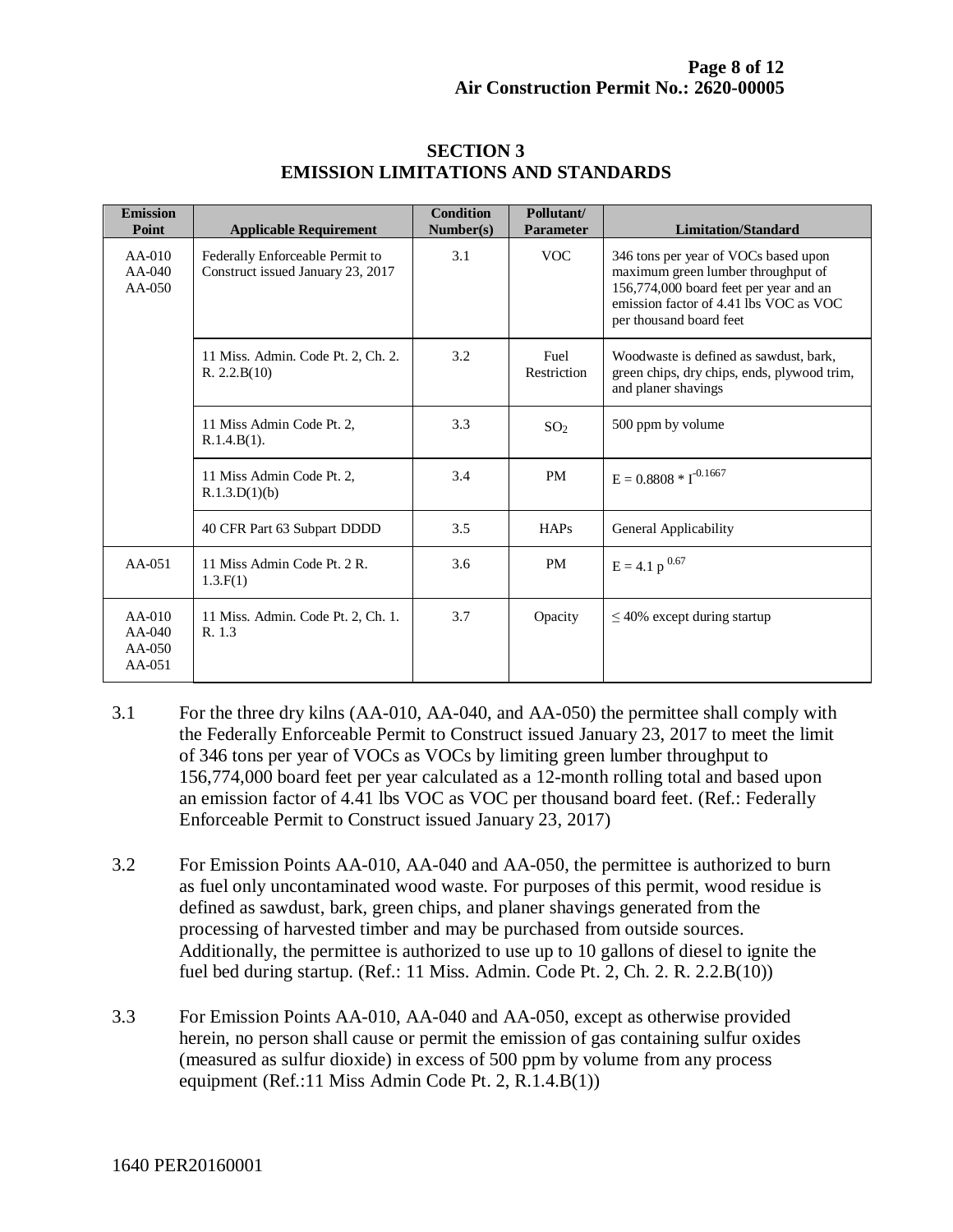| <b>Emission</b><br>Point                     | <b>Applicable Requirement</b>                                        | <b>Condition</b><br>Number(s) | Pollutant/<br><b>Parameter</b> | <b>Limitation/Standard</b>                                                                                                                                                                |
|----------------------------------------------|----------------------------------------------------------------------|-------------------------------|--------------------------------|-------------------------------------------------------------------------------------------------------------------------------------------------------------------------------------------|
| $AA-010$<br>$AA-040$<br>$AA-0.50$            | Federally Enforceable Permit to<br>Construct issued January 23, 2017 | 3.1                           | <b>VOC</b>                     | 346 tons per year of VOCs based upon<br>maximum green lumber throughput of<br>156,774,000 board feet per year and an<br>emission factor of 4.41 lbs VOC as VOC<br>per thousand board feet |
|                                              | 11 Miss. Admin. Code Pt. 2, Ch. 2.<br>R. 2.2.B(10)                   | 3.2                           | Fuel<br>Restriction            | Woodwaste is defined as sawdust, bark,<br>green chips, dry chips, ends, plywood trim,<br>and planer shavings                                                                              |
|                                              | 11 Miss Admin Code Pt. 2,<br>R.1.4.B(1).                             | 3.3                           | SO <sub>2</sub>                | 500 ppm by volume                                                                                                                                                                         |
|                                              | 11 Miss Admin Code Pt. 2,<br>R.1.3.D(1)(b)                           | 3.4                           | <b>PM</b>                      | $E = 0.8808 * I^{0.1667}$                                                                                                                                                                 |
|                                              | 40 CFR Part 63 Subpart DDDD                                          | 3.5                           | <b>HAPs</b>                    | General Applicability                                                                                                                                                                     |
| $AA-0.51$                                    | 11 Miss Admin Code Pt. 2 R.<br>1.3.F(1)                              | 3.6                           | <b>PM</b>                      | $E = 4.1 p^{0.67}$                                                                                                                                                                        |
| $AA-010$<br>$AA-040$<br>$AA-050$<br>$AA-051$ | 11 Miss. Admin. Code Pt. 2, Ch. 1.<br>R. 1.3                         | 3.7                           | Opacity                        | $\leq$ 40% except during startup                                                                                                                                                          |

#### **SECTION 3 EMISSION LIMITATIONS AND STANDARDS**

- 3.1 For the three dry kilns (AA-010, AA-040, and AA-050) the permittee shall comply with the Federally Enforceable Permit to Construct issued January 23, 2017 to meet the limit of 346 tons per year of VOCs as VOCs by limiting green lumber throughput to 156,774,000 board feet per year calculated as a 12-month rolling total and based upon an emission factor of 4.41 lbs VOC as VOC per thousand board feet. (Ref.: Federally Enforceable Permit to Construct issued January 23, 2017)
- 3.2 For Emission Points AA-010, AA-040 and AA-050, the permittee is authorized to burn as fuel only uncontaminated wood waste. For purposes of this permit, wood residue is defined as sawdust, bark, green chips, and planer shavings generated from the processing of harvested timber and may be purchased from outside sources. Additionally, the permittee is authorized to use up to 10 gallons of diesel to ignite the fuel bed during startup. (Ref.: 11 Miss. Admin. Code Pt. 2, Ch. 2. R. 2.2.B(10))
- 3.3 For Emission Points AA-010, AA-040 and AA-050, except as otherwise provided herein, no person shall cause or permit the emission of gas containing sulfur oxides (measured as sulfur dioxide) in excess of 500 ppm by volume from any process equipment (Ref.:11 Miss Admin Code Pt. 2, R.1.4.B(1))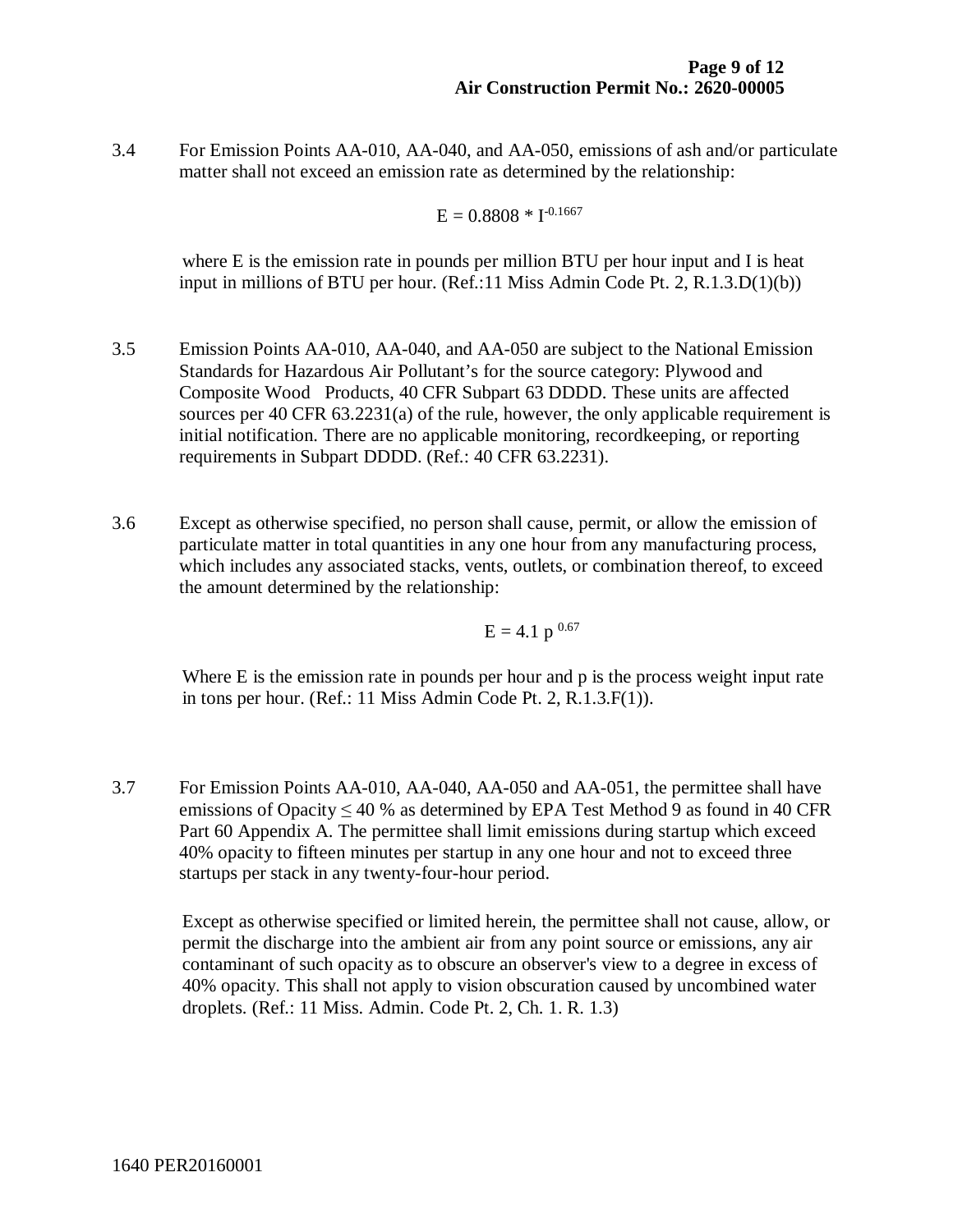3.4 For Emission Points AA-010, AA-040, and AA-050, emissions of ash and/or particulate matter shall not exceed an emission rate as determined by the relationship:

$$
E = 0.8808 * I^{0.1667}
$$

where E is the emission rate in pounds per million BTU per hour input and I is heat input in millions of BTU per hour. (Ref.:11 Miss Admin Code Pt. 2, R.1.3.D(1)(b))

- 3.5 Emission Points AA-010, AA-040, and AA-050 are subject to the National Emission Standards for Hazardous Air Pollutant's for the source category: Plywood and Composite Wood Products, 40 CFR Subpart 63 DDDD. These units are affected sources per 40 CFR 63.2231(a) of the rule, however, the only applicable requirement is initial notification. There are no applicable monitoring, recordkeeping, or reporting requirements in Subpart DDDD. (Ref.: 40 CFR 63.2231).
- 3.6 Except as otherwise specified, no person shall cause, permit, or allow the emission of particulate matter in total quantities in any one hour from any manufacturing process, which includes any associated stacks, vents, outlets, or combination thereof, to exceed the amount determined by the relationship:

$$
E = 4.1 p^{0.67}
$$

Where E is the emission rate in pounds per hour and p is the process weight input rate in tons per hour. (Ref.: 11 Miss Admin Code Pt. 2, R.1.3.F(1)).

3.7 For Emission Points AA-010, AA-040, AA-050 and AA-051, the permittee shall have emissions of Opacity  $\leq 40$  % as determined by EPA Test Method 9 as found in 40 CFR Part 60 Appendix A. The permittee shall limit emissions during startup which exceed 40% opacity to fifteen minutes per startup in any one hour and not to exceed three startups per stack in any twenty-four-hour period.

Except as otherwise specified or limited herein, the permittee shall not cause, allow, or permit the discharge into the ambient air from any point source or emissions, any air contaminant of such opacity as to obscure an observer's view to a degree in excess of 40% opacity. This shall not apply to vision obscuration caused by uncombined water droplets. (Ref.: 11 Miss. Admin. Code Pt. 2, Ch. 1. R. 1.3)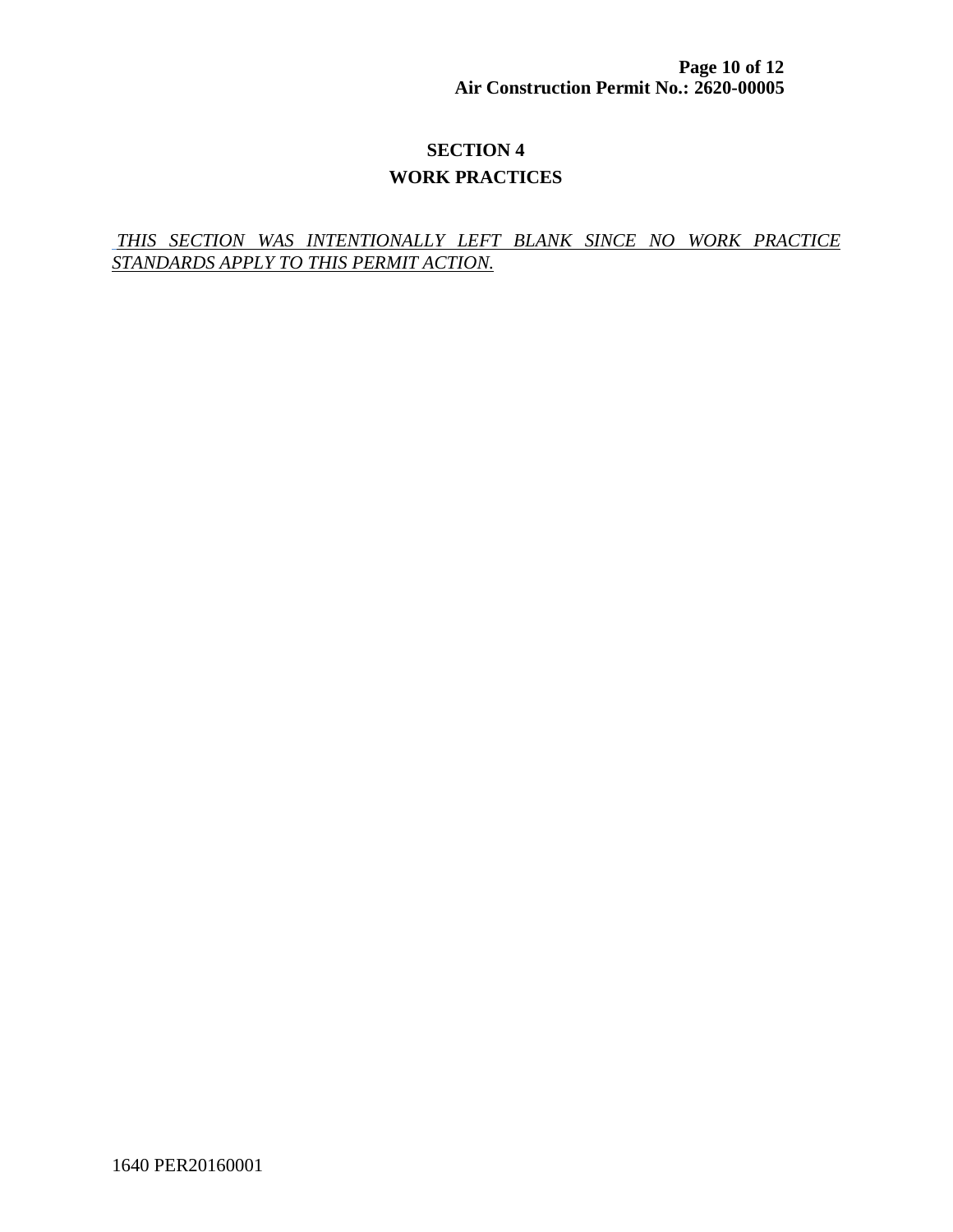**Page 10 of 12 Air Construction Permit No.: 2620-00005**

# **SECTION 4 WORK PRACTICES**

#### *THIS SECTION WAS INTENTIONALLY LEFT BLANK SINCE NO WORK PRACTICE STANDARDS APPLY TO THIS PERMIT ACTION.*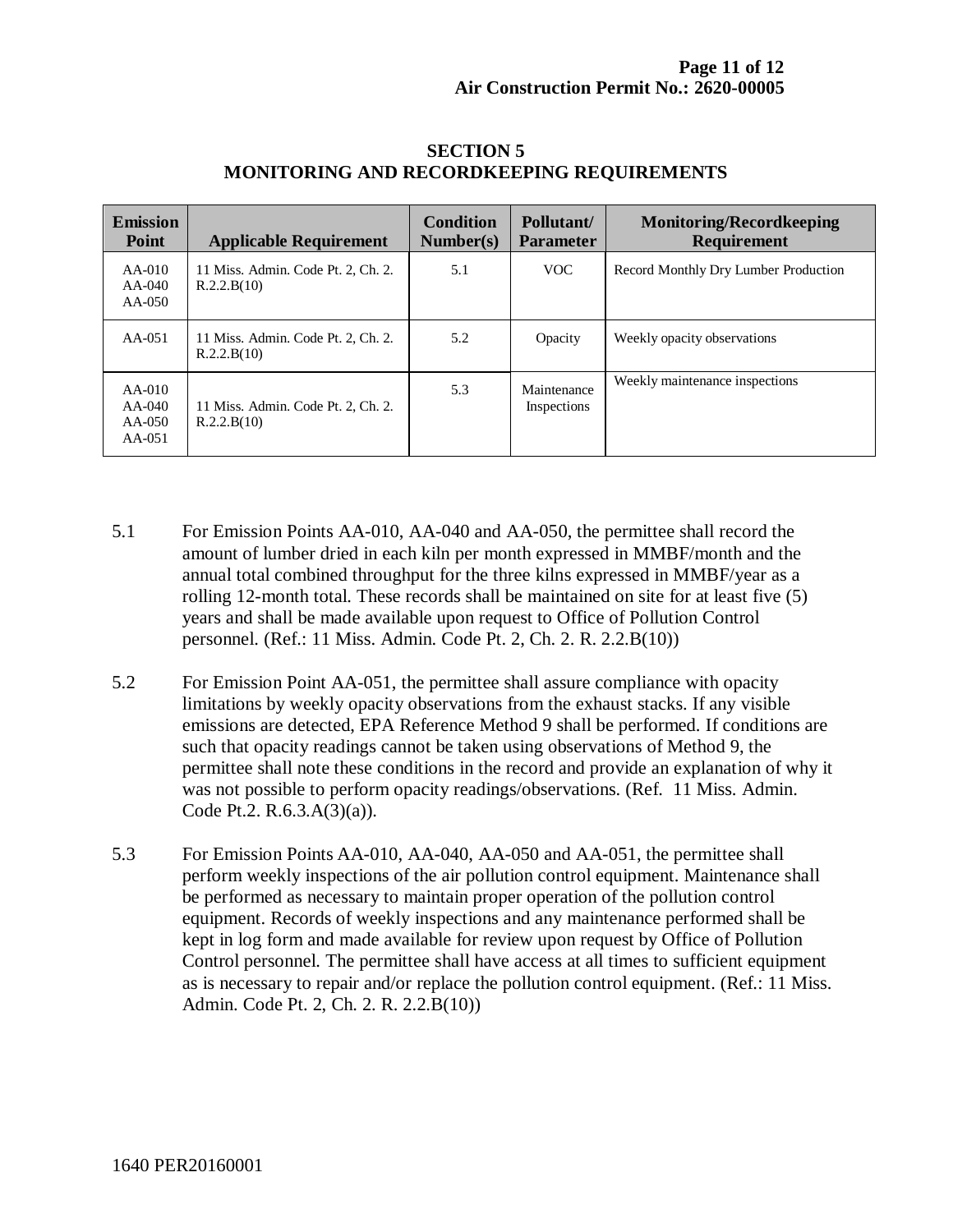| <b>Emission</b><br><b>Point</b>            | <b>Applicable Requirement</b>                     | <b>Condition</b><br>Number(s) | Pollutant/<br><b>Parameter</b> | <b>Monitoring/Recordkeeping</b><br><b>Requirement</b> |
|--------------------------------------------|---------------------------------------------------|-------------------------------|--------------------------------|-------------------------------------------------------|
| $AA-010$<br>$AA-040$<br>$AA-050$           | 11 Miss. Admin. Code Pt. 2, Ch. 2.<br>R.2.2.B(10) | 5.1                           | VOC.                           | Record Monthly Dry Lumber Production                  |
| $AA-051$                                   | 11 Miss. Admin. Code Pt. 2, Ch. 2.<br>R.2.2.B(10) | 5.2                           | Opacity                        | Weekly opacity observations                           |
| $AA-010$<br>AA-040<br>$AA-050$<br>$AA-051$ | 11 Miss. Admin. Code Pt. 2, Ch. 2.<br>R.2.2.B(10) | 5.3                           | Maintenance<br>Inspections     | Weekly maintenance inspections                        |

#### **SECTION 5 MONITORING AND RECORDKEEPING REQUIREMENTS**

- 5.1 For Emission Points AA-010, AA-040 and AA-050, the permittee shall record the amount of lumber dried in each kiln per month expressed in MMBF/month and the annual total combined throughput for the three kilns expressed in MMBF/year as a rolling 12-month total. These records shall be maintained on site for at least five (5) years and shall be made available upon request to Office of Pollution Control personnel. (Ref.: 11 Miss. Admin. Code Pt. 2, Ch. 2. R. 2.2.B(10))
- 5.2 For Emission Point AA-051, the permittee shall assure compliance with opacity limitations by weekly opacity observations from the exhaust stacks. If any visible emissions are detected, EPA Reference Method 9 shall be performed. If conditions are such that opacity readings cannot be taken using observations of Method 9, the permittee shall note these conditions in the record and provide an explanation of why it was not possible to perform opacity readings/observations. (Ref. 11 Miss. Admin. Code Pt.2. R.6.3.A(3)(a)).
- 5.3 For Emission Points AA-010, AA-040, AA-050 and AA-051, the permittee shall perform weekly inspections of the air pollution control equipment. Maintenance shall be performed as necessary to maintain proper operation of the pollution control equipment. Records of weekly inspections and any maintenance performed shall be kept in log form and made available for review upon request by Office of Pollution Control personnel. The permittee shall have access at all times to sufficient equipment as is necessary to repair and/or replace the pollution control equipment. (Ref.: 11 Miss. Admin. Code Pt. 2, Ch. 2. R. 2.2.B(10))